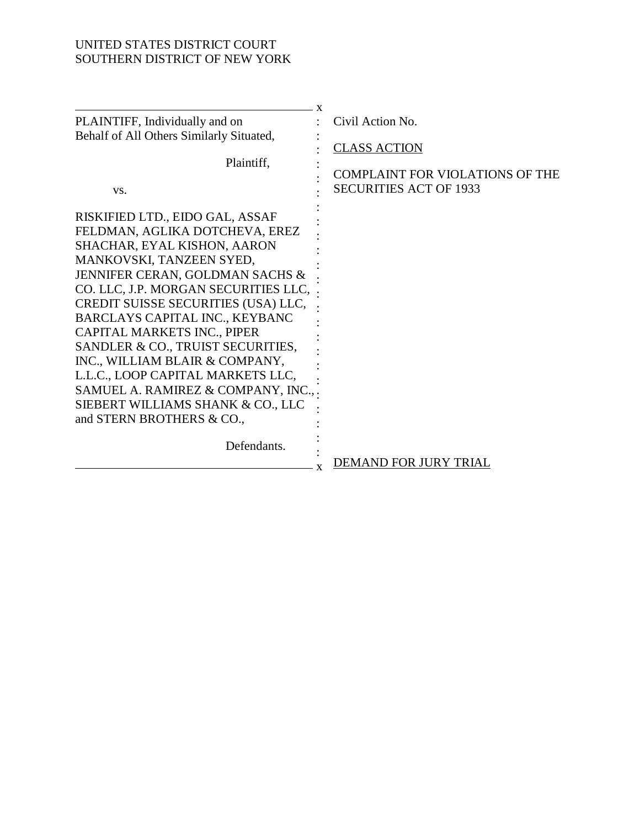# UNITED STATES DISTRICT COURT SOUTHERN DISTRICT OF NEW YORK

| Civil Action No.                       |
|----------------------------------------|
|                                        |
| <b>CLASS ACTION</b>                    |
|                                        |
| <b>COMPLAINT FOR VIOLATIONS OF THE</b> |
| <b>SECURITIES ACT OF 1933</b>          |
|                                        |
|                                        |
|                                        |
|                                        |
|                                        |
|                                        |
|                                        |
|                                        |
|                                        |
|                                        |
|                                        |
|                                        |
|                                        |
|                                        |
|                                        |
|                                        |
|                                        |
| <b>DEMAND FOR JURY TRIAL</b>           |
| X                                      |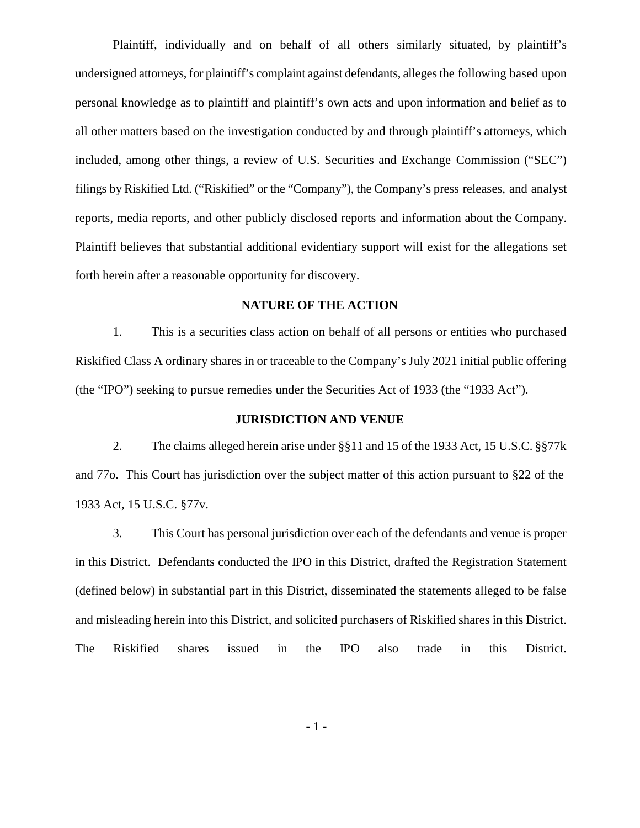Plaintiff, individually and on behalf of all others similarly situated, by plaintiff's undersigned attorneys, for plaintiff's complaint against defendants, allegesthe following based upon personal knowledge as to plaintiff and plaintiff's own acts and upon information and belief as to all other matters based on the investigation conducted by and through plaintiff's attorneys, which included, among other things, a review of U.S. Securities and Exchange Commission ("SEC") filings by Riskified Ltd.("Riskified" or the "Company"), the Company's press releases, and analyst reports, media reports, and other publicly disclosed reports and information about the Company. Plaintiff believes that substantial additional evidentiary support will exist for the allegations set forth herein after a reasonable opportunity for discovery.

## **NATURE OF THE ACTION**

1. This is a securities class action on behalf of all persons or entities who purchased Riskified Class A ordinary shares in or traceable to the Company's July 2021 initial public offering (the "IPO") seeking to pursue remedies under the Securities Act of 1933 (the "1933 Act").

### **JURISDICTION AND VENUE**

2. The claims alleged herein arise under §§11 and 15 of the 1933 Act, 15 U.S.C. §§77k and 77o. This Court has jurisdiction over the subject matter of this action pursuant to §22 of the 1933 Act, 15 U.S.C. §77v.

3. This Court has personal jurisdiction over each of the defendants and venue is proper in this District. Defendants conducted the IPO in this District, drafted the Registration Statement (defined below) in substantial part in this District, disseminated the statements alleged to be false and misleading herein into this District, and solicited purchasers of Riskified shares in this District. The Riskified shares issued in the IPO also trade in this District.

- 1 -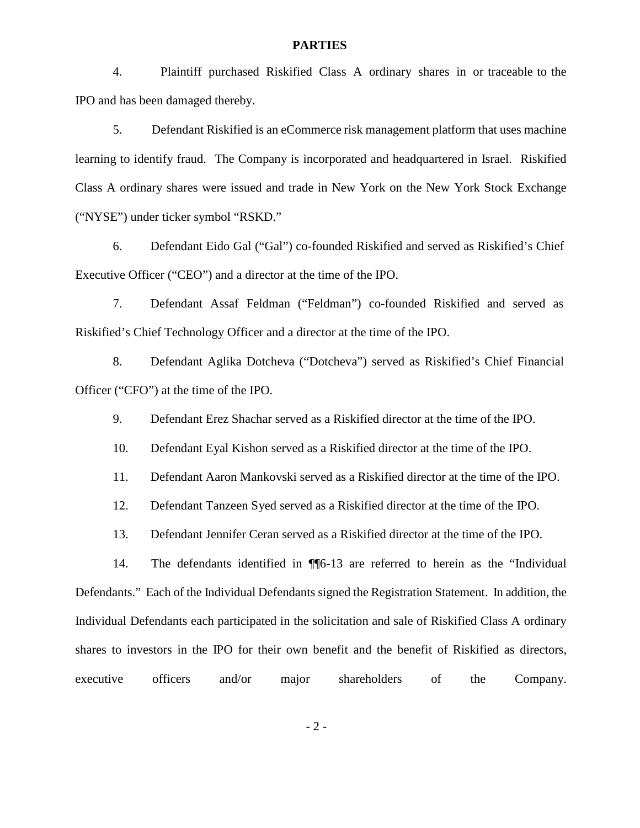#### **PARTIES**

4. Plaintiff purchased Riskified Class A ordinary shares in or traceable to the IPO and has been damaged thereby.

5. Defendant Riskified is an eCommerce risk management platform that uses machine learning to identify fraud. The Company is incorporated and headquartered in Israel. Riskified Class A ordinary shares were issued and trade in New York on the New York Stock Exchange ("NYSE") under ticker symbol "RSKD."

6. Defendant Eido Gal ("Gal") co-founded Riskified and served as Riskified's Chief Executive Officer ("CEO") and a director at the time of the IPO.

7. Defendant Assaf Feldman ("Feldman") co-founded Riskified and served as Riskified's Chief Technology Officer and a director at the time of the IPO.

8. Defendant Aglika Dotcheva ("Dotcheva") served as Riskified's Chief Financial Officer ("CFO") at the time of the IPO.

9. Defendant Erez Shachar served as a Riskified director at the time of the IPO.

10. Defendant Eyal Kishon served as a Riskified director at the time of the IPO.

11. Defendant Aaron Mankovski served as a Riskified director at the time of the IPO.

12. Defendant Tanzeen Syed served as a Riskified director at the time of the IPO.

13. Defendant Jennifer Ceran served as a Riskified director at the time of the IPO.

14. The defendants identified in ¶¶6-13 are referred to herein as the "Individual Defendants." Each of the Individual Defendants signed the Registration Statement. In addition, the Individual Defendants each participated in the solicitation and sale of Riskified Class A ordinary shares to investors in the IPO for their own benefit and the benefit of Riskified as directors, executive officers and/or major shareholders of the Company.

- 2 -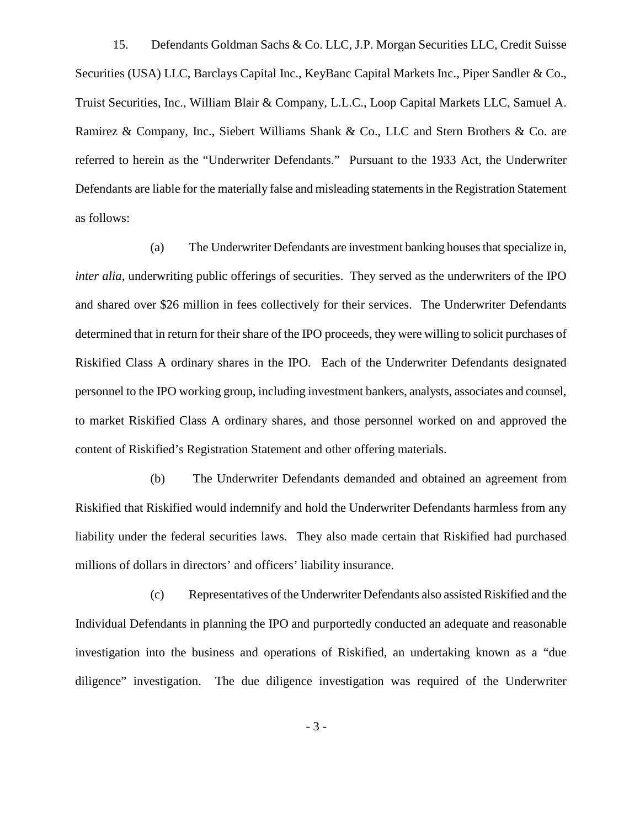15. Defendants Goldman Sachs & Co. LLC, J.P. Morgan Securities LLC, Credit Suisse Securities (USA) LLC, Barclays Capital Inc., KeyBanc Capital Markets Inc., Piper Sandler & Co., Truist Securities, Inc., William Blair & Company, L.L.C., Loop Capital Markets LLC, Samuel A. Ramirez & Company, Inc., Siebert Williams Shank & Co., LLC and Stern Brothers & Co. are referred to herein as the "Underwriter Defendants." Pursuant to the 1933 Act, the Underwriter Defendants are liable for the materially false and misleading statements in the Registration Statement as follows:

(a) The Underwriter Defendants are investment banking houses that specialize in, *inter alia*, underwriting public offerings of securities. They served as the underwriters of the IPO and shared over \$26 million in fees collectively for their services. The Underwriter Defendants determined that in return for their share of the IPO proceeds, they were willing to solicit purchases of Riskified Class A ordinary shares in the IPO. Each of the Underwriter Defendants designated personnel to the IPO working group, including investment bankers, analysts, associates and counsel, to market Riskified Class A ordinary shares, and those personnel worked on and approved the content of Riskified's Registration Statement and other offering materials.

(b) The Underwriter Defendants demanded and obtained an agreement from Riskified that Riskified would indemnify and hold the Underwriter Defendants harmless from any liability under the federal securities laws. They also made certain that Riskified had purchased millions of dollars in directors' and officers' liability insurance.

(c) Representatives of the Underwriter Defendants also assisted Riskified and the Individual Defendants in planning the IPO and purportedly conducted an adequate and reasonable investigation into the business and operations of Riskified, an undertaking known as a "due diligence" investigation. The due diligence investigation was required of the Underwriter

- 3 -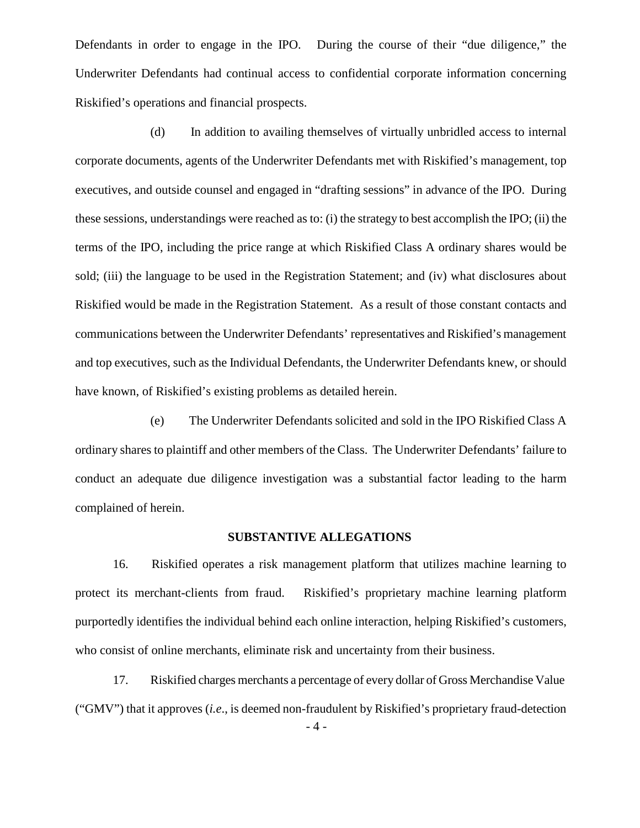Defendants in order to engage in the IPO. During the course of their "due diligence," the Underwriter Defendants had continual access to confidential corporate information concerning Riskified's operations and financial prospects.

(d) In addition to availing themselves of virtually unbridled access to internal corporate documents, agents of the Underwriter Defendants met with Riskified's management, top executives, and outside counsel and engaged in "drafting sessions" in advance of the IPO. During these sessions, understandings were reached as to: (i) the strategy to best accomplish the IPO; (ii) the terms of the IPO, including the price range at which Riskified Class A ordinary shares would be sold; (iii) the language to be used in the Registration Statement; and (iv) what disclosures about Riskified would be made in the Registration Statement. As a result of those constant contacts and communications between the Underwriter Defendants' representatives and Riskified's management and top executives, such as the Individual Defendants, the Underwriter Defendants knew, or should have known, of Riskified's existing problems as detailed herein.

(e) The Underwriter Defendants solicited and sold in the IPO Riskified Class A ordinary shares to plaintiff and other members of the Class. The Underwriter Defendants' failure to conduct an adequate due diligence investigation was a substantial factor leading to the harm complained of herein.

## **SUBSTANTIVE ALLEGATIONS**

16. Riskified operates a risk management platform that utilizes machine learning to protect its merchant-clients from fraud. Riskified's proprietary machine learning platform purportedly identifies the individual behind each online interaction, helping Riskified's customers, who consist of online merchants, eliminate risk and uncertainty from their business.

17. Riskified charges merchants a percentage of every dollar of Gross Merchandise Value ("GMV") that it approves (*i.e*., is deemed non-fraudulent by Riskified's proprietary fraud-detection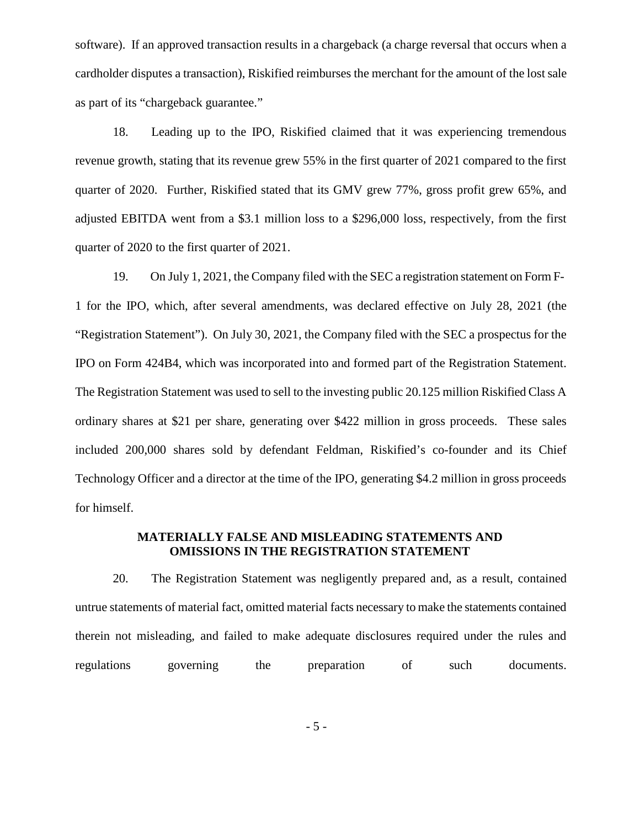software). If an approved transaction results in a chargeback (a charge reversal that occurs when a cardholder disputes a transaction), Riskified reimburses the merchant for the amount of the lost sale as part of its "chargeback guarantee."

18. Leading up to the IPO, Riskified claimed that it was experiencing tremendous revenue growth, stating that its revenue grew 55% in the first quarter of 2021 compared to the first quarter of 2020. Further, Riskified stated that its GMV grew 77%, gross profit grew 65%, and adjusted EBITDA went from a \$3.1 million loss to a \$296,000 loss, respectively, from the first quarter of 2020 to the first quarter of 2021.

19. On July 1, 2021, the Company filed with the SEC a registration statement on Form F- 1 for the IPO, which, after several amendments, was declared effective on July 28, 2021 (the "Registration Statement"). On July 30, 2021, the Company filed with the SEC a prospectus for the IPO on Form 424B4, which was incorporated into and formed part of the Registration Statement. The Registration Statement was used to sell to the investing public 20.125 million Riskified Class A ordinary shares at \$21 per share, generating over \$422 million in gross proceeds. These sales included 200,000 shares sold by defendant Feldman, Riskified's co-founder and its Chief Technology Officer and a director at the time of the IPO, generating \$4.2 million in gross proceeds for himself.

## **MATERIALLY FALSE AND MISLEADING STATEMENTS AND OMISSIONS IN THE REGISTRATION STATEMENT**

20. The Registration Statement was negligently prepared and, as a result, contained untrue statements of material fact, omitted material facts necessary to make the statements contained therein not misleading, and failed to make adequate disclosures required under the rules and regulations governing the preparation of such documents.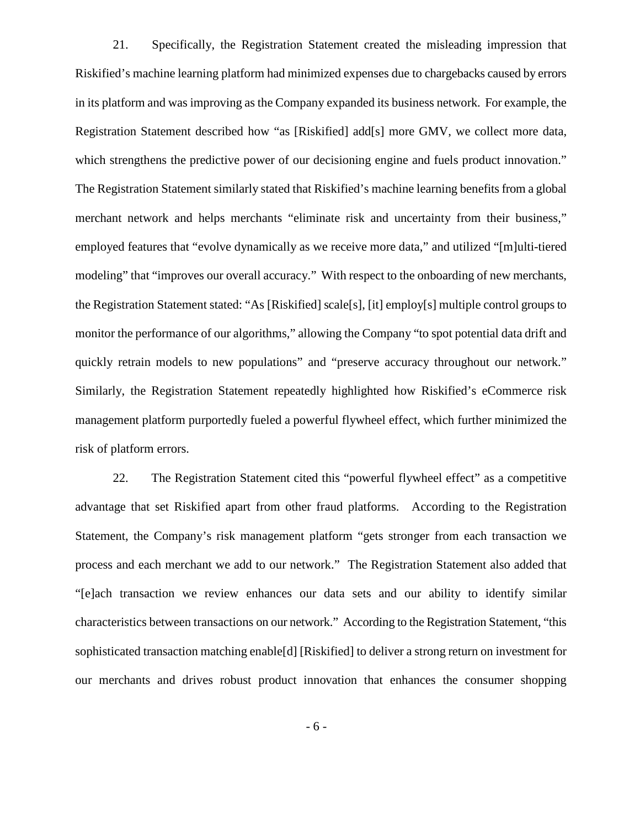21. Specifically, the Registration Statement created the misleading impression that Riskified's machine learning platform had minimized expenses due to chargebacks caused by errors in its platform and was improving as the Company expanded its business network. For example, the Registration Statement described how "as [Riskified] add[s] more GMV, we collect more data, which strengthens the predictive power of our decisioning engine and fuels product innovation." The Registration Statement similarly stated that Riskified's machine learning benefits from a global merchant network and helps merchants "eliminate risk and uncertainty from their business," employed features that "evolve dynamically as we receive more data," and utilized "[m]ulti-tiered modeling" that "improves our overall accuracy." With respect to the onboarding of new merchants, the Registration Statement stated: "As [Riskified] scale[s], [it] employ[s] multiple control groupsto monitor the performance of our algorithms," allowing the Company "to spot potential data drift and quickly retrain models to new populations" and "preserve accuracy throughout our network." Similarly, the Registration Statement repeatedly highlighted how Riskified's eCommerce risk management platform purportedly fueled a powerful flywheel effect, which further minimized the risk of platform errors.

22. The Registration Statement cited this "powerful flywheel effect" as a competitive advantage that set Riskified apart from other fraud platforms. According to the Registration Statement, the Company's risk management platform "gets stronger from each transaction we process and each merchant we add to our network." The Registration Statement also added that "[e]ach transaction we review enhances our data sets and our ability to identify similar characteristics between transactions on our network." According to the Registration Statement, "this sophisticated transaction matching enable[d] [Riskified] to deliver a strong return on investment for our merchants and drives robust product innovation that enhances the consumer shopping

- 6 -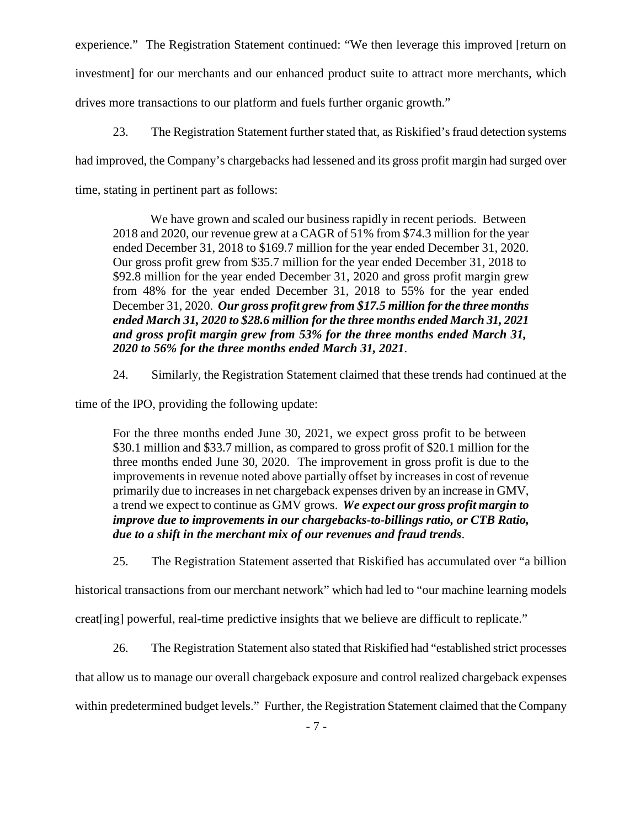experience." The Registration Statement continued: "We then leverage this improved [return on investment] for our merchants and our enhanced product suite to attract more merchants, which drives more transactions to our platform and fuels further organic growth."

23. The Registration Statement further stated that, as Riskified's fraud detection systems

had improved, the Company's chargebacks had lessened and its gross profit margin had surged over

time, stating in pertinent part as follows:

We have grown and scaled our business rapidly in recent periods. Between 2018 and 2020, our revenue grew at a CAGR of 51% from \$74.3 million for the year ended December 31, 2018 to \$169.7 million for the year ended December 31, 2020. Our gross profit grew from \$35.7 million for the year ended December 31, 2018 to \$92.8 million for the year ended December 31, 2020 and gross profit margin grew from 48% for the year ended December 31, 2018 to 55% for the year ended December 31, 2020. *Our gross profit grew from \$17.5 million forthe three months ended March 31, 2020 to \$28.6 million for the three months ended March 31, 2021 and gross profit margin grew from 53% for the three months ended March 31, 2020 to 56% for the three months ended March 31, 2021*.

24. Similarly, the Registration Statement claimed that these trends had continued at the

time of the IPO, providing the following update:

For the three months ended June 30, 2021, we expect gross profit to be between \$30.1 million and \$33.7 million, as compared to gross profit of \$20.1 million for the three months ended June 30, 2020. The improvement in gross profit is due to the improvements in revenue noted above partially offset by increases in cost of revenue primarily due to increases in net chargeback expenses driven by an increase in GMV, a trend we expect to continue as GMV grows. *We expect our gross profit margin to improve due to improvements in our chargebacks-to-billings ratio, or CTB Ratio, due to a shift in the merchant mix of our revenues and fraud trends*.

25. The Registration Statement asserted that Riskified has accumulated over "a billion

historical transactions from our merchant network" which had led to "our machine learning models

creat[ing] powerful, real-time predictive insights that we believe are difficult to replicate."

26. The Registration Statement also stated that Riskified had "established strict processes"

that allow us to manage our overall chargeback exposure and control realized chargeback expenses

within predetermined budget levels." Further, the Registration Statement claimed that the Company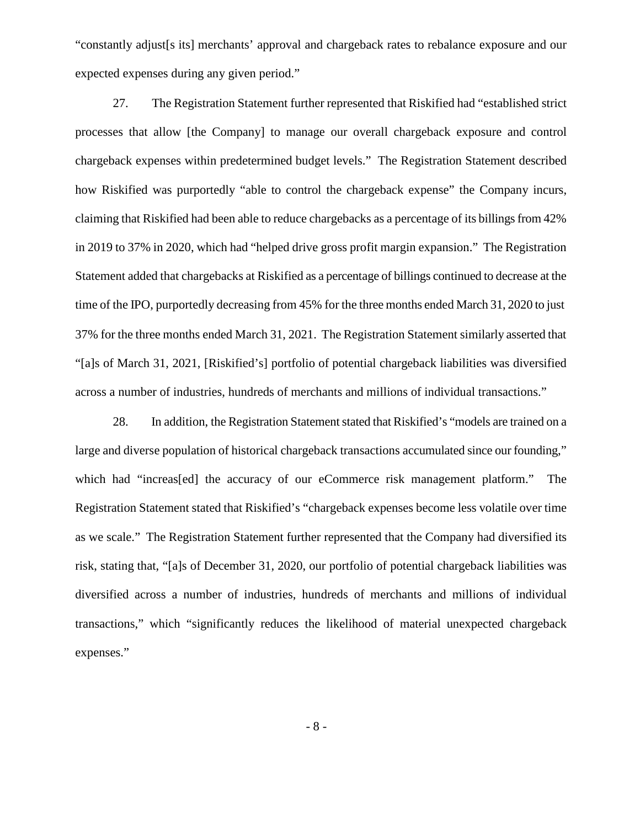"constantly adjust[s its] merchants' approval and chargeback rates to rebalance exposure and our expected expenses during any given period."

27. The Registration Statement further represented that Riskified had "established strict processes that allow [the Company] to manage our overall chargeback exposure and control chargeback expenses within predetermined budget levels." The Registration Statement described how Riskified was purportedly "able to control the chargeback expense" the Company incurs, claiming that Riskified had been able to reduce chargebacks as a percentage of its billingsfrom 42% in 2019 to 37% in 2020, which had "helped drive gross profit margin expansion." The Registration Statement added that chargebacks at Riskified as a percentage of billings continued to decrease at the time of the IPO, purportedly decreasing from 45% for the three months ended March 31, 2020 to just 37% for the three months ended March 31, 2021. The Registration Statement similarly asserted that"[a]s of March 31, 2021, [Riskified's] portfolio of potential chargeback liabilities was diversified across a number of industries, hundreds of merchants and millions of individual transactions."

28. In addition, the Registration Statement stated that Riskified's "models are trained on a large and diverse population of historical chargeback transactions accumulated since our founding," which had "increas[ed] the accuracy of our eCommerce risk management platform." The Registration Statement stated that Riskified's "chargeback expenses become less volatile over time as we scale." The Registration Statement further represented that the Company had diversified its risk, stating that, "[a]s of December 31, 2020, our portfolio of potential chargeback liabilities was diversified across a number of industries, hundreds of merchants and millions of individual transactions," which "significantly reduces the likelihood of material unexpected chargeback expenses."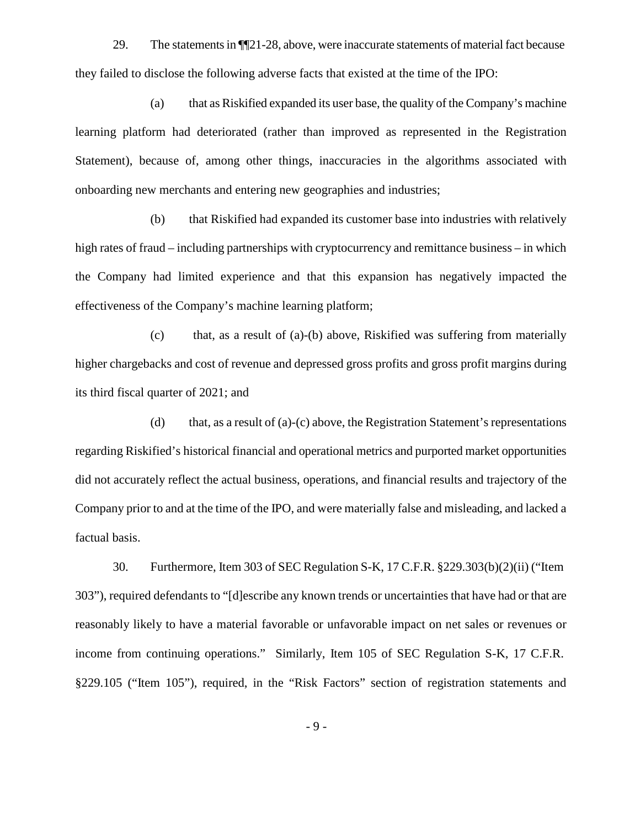29. The statementsin ¶¶21-28, above, were inaccurate statements of material fact because they failed to disclose the following adverse facts that existed at the time of the IPO:

(a) that as Riskified expanded its user base, the quality of the Company's machine learning platform had deteriorated (rather than improved as represented in the Registration Statement), because of, among other things, inaccuracies in the algorithms associated with onboarding new merchants and entering new geographies and industries;

(b) that Riskified had expanded its customer base into industries with relatively high rates of fraud – including partnerships with cryptocurrency and remittance business – in which the Company had limited experience and that this expansion has negatively impacted the effectiveness of the Company's machine learning platform;

(c) that, as a result of (a)-(b) above, Riskified was suffering from materially higher chargebacks and cost of revenue and depressed gross profits and gross profit margins during its third fiscal quarter of 2021; and

(d) that, as a result of (a)-(c) above, the Registration Statement's representations regarding Riskified's historical financial and operational metrics and purported market opportunities did not accurately reflect the actual business, operations, and financial results and trajectory of the Company prior to and at the time of the IPO, and were materially false and misleading, and lacked a factual basis.

30. Furthermore, Item 303 of SEC Regulation S-K, 17 C.F.R. §229.303(b)(2)(ii) ("Item 303"), required defendants to "[d]escribe any known trends or uncertainties that have had or that are reasonably likely to have a material favorable or unfavorable impact on net sales or revenues or income from continuing operations." Similarly, Item 105 of SEC Regulation S-K, 17 C.F.R. §229.105 ("Item 105"), required, in the "Risk Factors" section of registration statements and

- 9 -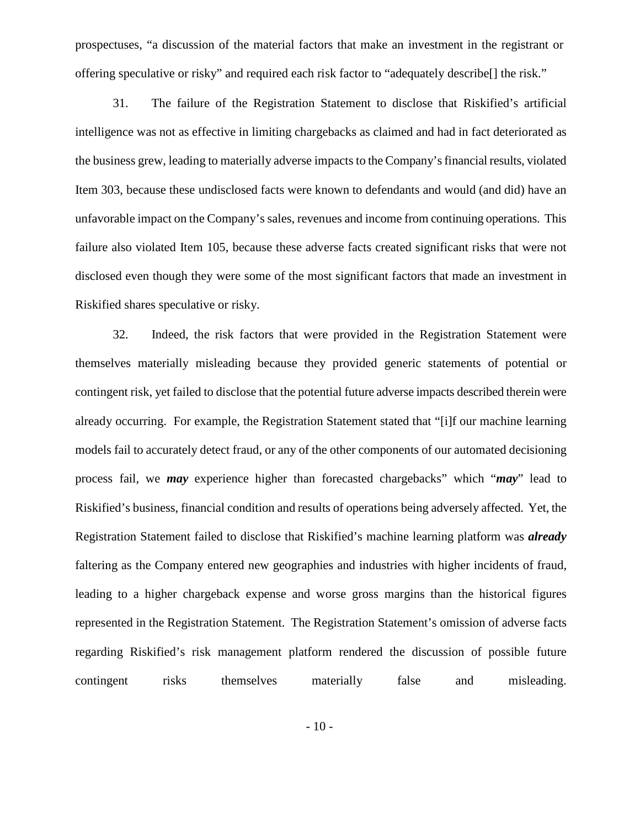prospectuses, "a discussion of the material factors that make an investment in the registrant or offering speculative or risky" and required each risk factor to "adequately describe[] the risk."

31. The failure of the Registration Statement to disclose that Riskified's artificial intelligence was not as effective in limiting chargebacks as claimed and had in fact deteriorated as the business grew, leading to materially adverse impacts to the Company'sfinancial results, violated Item 303, because these undisclosed facts were known to defendants and would (and did) have an unfavorable impact on the Company's sales, revenues and income from continuing operations. This failure also violated Item 105, because these adverse facts created significant risks that were not disclosed even though they were some of the most significant factors that made an investment in Riskified shares speculative or risky.

32. Indeed, the risk factors that were provided in the Registration Statement were themselves materially misleading because they provided generic statements of potential or contingent risk, yet failed to disclose that the potential future adverse impacts described therein were already occurring. For example, the Registration Statement stated that "[i]f our machine learning models fail to accurately detect fraud, or any of the other components of our automated decisioning process fail, we *may* experience higher than forecasted chargebacks" which "*may*" lead to Riskified's business, financial condition and results of operations being adversely affected. Yet, the Registration Statement failed to disclose that Riskified's machine learning platform was *already* faltering as the Company entered new geographies and industries with higher incidents of fraud, leading to a higher chargeback expense and worse gross margins than the historical figures represented in the Registration Statement. The Registration Statement's omission of adverse facts regarding Riskified's risk management platform rendered the discussion of possible future contingent risks themselves materially false and misleading.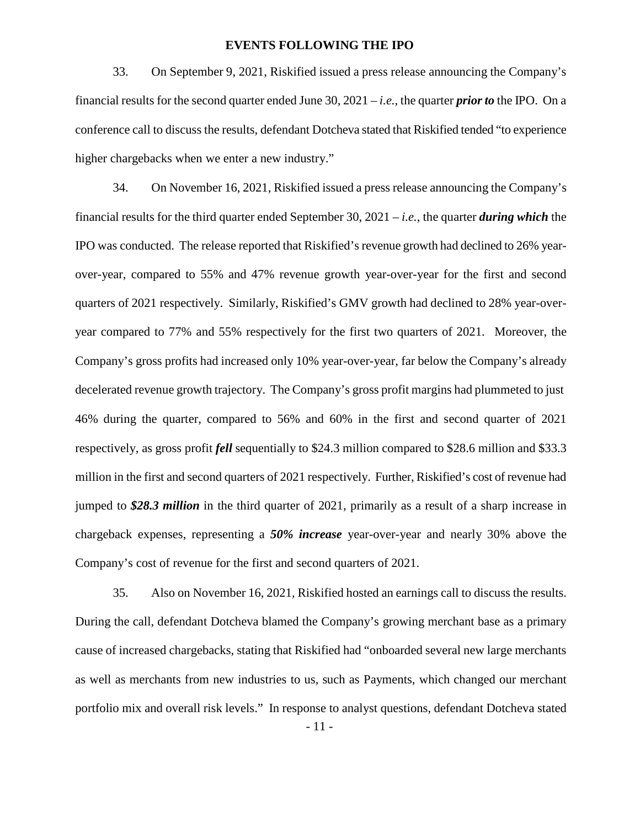#### **EVENTS FOLLOWING THE IPO**

33. On September 9, 2021, Riskified issued a press release announcing the Company's financial results for the second quarter ended June 30,2021 – *i.e.*, the quarter *prior to* the IPO. On a conference call to discuss the results, defendant Dotcheva stated that Riskified tended "to experience" higher chargebacks when we enter a new industry."

34. On November 16, 2021, Riskified issued a press release announcing the Company's financial results for the third quarter ended September 30, 2021 – *i.e.*, the quarter *during which* the IPO was conducted. The release reported that Riskified's revenue growth had declined to 26% year over-year, compared to 55% and 47% revenue growth year-over-year for the first and second quarters of 2021 respectively. Similarly, Riskified's GMV growth had declined to 28% year-over year compared to 77% and 55% respectively for the first two quarters of 2021. Moreover, the Company's gross profits had increased only 10% year-over-year, far below the Company's already decelerated revenue growth trajectory. The Company's gross profit margins had plummeted to just 46% during the quarter, compared to 56% and 60% in thefirst and second quarter of 2021 respectively, as gross profit *fell* sequentially to \$24.3 million compared to \$28.6 million and \$33.3 million in the first and second quarters of 2021 respectively. Further, Riskified's cost of revenue had jumped to *\$28.3 million* in the third quarter of 2021, primarily as a result of a sharp increase in chargeback expenses, representing a *50% increase* year-over-year and nearly 30% above the Company's cost of revenue for the first and second quarters of 2021.

35. Also on November 16, 2021, Riskified hosted an earnings call to discuss the results. During the call, defendant Dotcheva blamed the Company's growing merchant base as a primary cause of increased chargebacks, stating that Riskified had "onboarded several new large merchants as well as merchants from new industries to us, such as Payments, which changed our merchant portfolio mix and overall risk levels." In response to analyst questions, defendant Dotcheva stated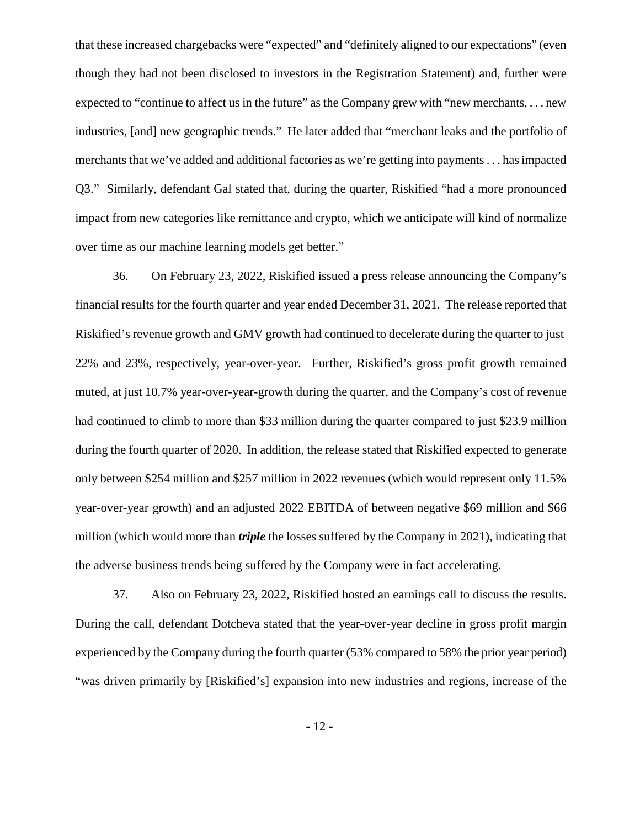that these increased chargebacks were "expected" and "definitely aligned to our expectations" (even though they had not been disclosed to investors in the Registration Statement) and, further were expected to "continue to affect us in the future" as the Company grew with "new merchants, ... new industries, [and] new geographic trends." He later added that "merchant leaks and the portfolio of merchants that we've added and additional factories as we're getting into payments. . . hasimpacted Q3." Similarly, defendant Gal stated that, during the quarter, Riskified "had a more pronounced impact from new categories like remittance and crypto, which we anticipate will kind of normalize over time as our machine learning models get better."

36. On February 23, 2022, Riskified issued a press release announcing the Company's financial results for the fourth quarter and year ended December 31, 2021. The release reported that Riskified's revenue growth and GMV growth had continued to decelerate during the quarter to just 22% and 23%, respectively, year-over-year. Further, Riskified's gross profit growth remained muted, at just 10.7% year-over-year-growth during the quarter, and the Company's cost of revenue had continued to climb to more than \$33 million during the quarter compared to just \$23.9 million during the fourth quarter of 2020. In addition, the release stated that Riskified expected to generate only between \$254 million and \$257 million in 2022 revenues (which would represent only 11.5% year-over-year growth) and an adjusted 2022 EBITDA of between negative \$69 million and \$66 million (which would more than *triple* the losses suffered by the Company in 2021), indicating that the adverse business trends being suffered by the Company were in fact accelerating.

37. Also on February 23, 2022, Riskified hosted an earnings call to discuss the results. During the call, defendant Dotcheva stated that the year-over-year decline in gross profit margin experienced by the Company during the fourth quarter (53% compared to 58% the prior year period) "was driven primarily by [Riskified's] expansion into new industries and regions, increase of the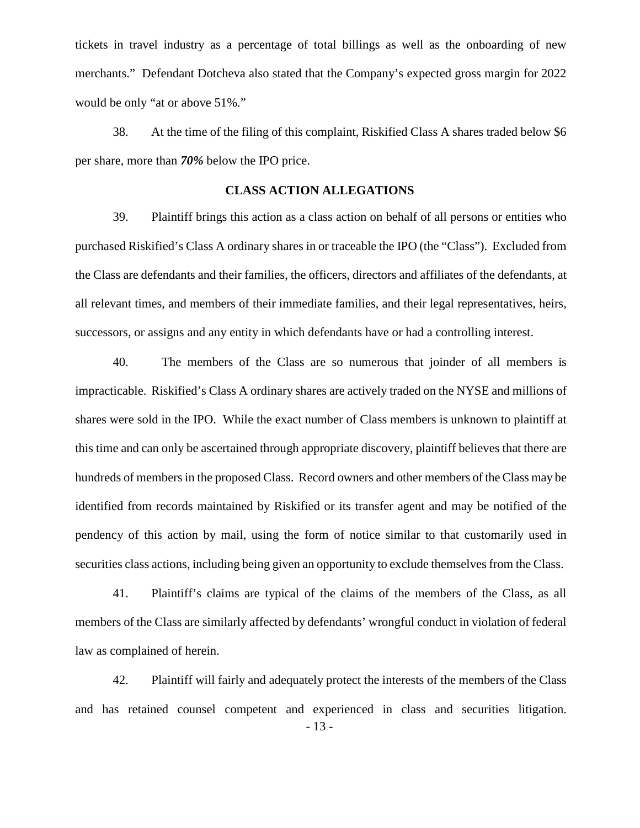tickets in travel industry as a percentage of total billings as well as the onboarding of new merchants." Defendant Dotcheva also stated that the Company's expected gross margin for 2022 would be only "at or above 51%."

38. At the time of the filing of this complaint, Riskified Class A shares traded below \$6 per share, more than *70%* below the IPO price.

## **CLASS ACTION ALLEGATIONS**

39. Plaintiff brings this action as a class action on behalf of all persons or entities who purchased Riskified's Class A ordinary shares in or traceable the IPO (the "Class"). Excluded from the Class are defendants and their families, the officers, directors and affiliates of the defendants, at all relevant times, and members of their immediate families, and their legal representatives, heirs, successors, or assigns and any entity in which defendants have or had a controlling interest.

40. The members of the Class are so numerous that joinder of all members is impracticable. Riskified's Class A ordinary shares are actively traded on the NYSE and millions of shares were sold in the IPO. While the exact number of Class members is unknown to plaintiff at this time and can only be ascertained through appropriate discovery, plaintiff believes that there are hundreds of members in the proposed Class. Record owners and other members of the Class may be identified from records maintained by Riskified or its transfer agent and may be notified of the pendency of this action by mail, using the form of notice similar to that customarily used in securities class actions, including being given an opportunity to exclude themselves from the Class.

41. Plaintiff's claims are typical of the claims of the members of the Class, as all members of the Class are similarly affected by defendants' wrongful conduct in violation of federal law as complained of herein.

- 13 - 42. Plaintiff will fairly and adequately protect the interests of the members of the Class and has retained counsel competent and experienced in class and securities litigation.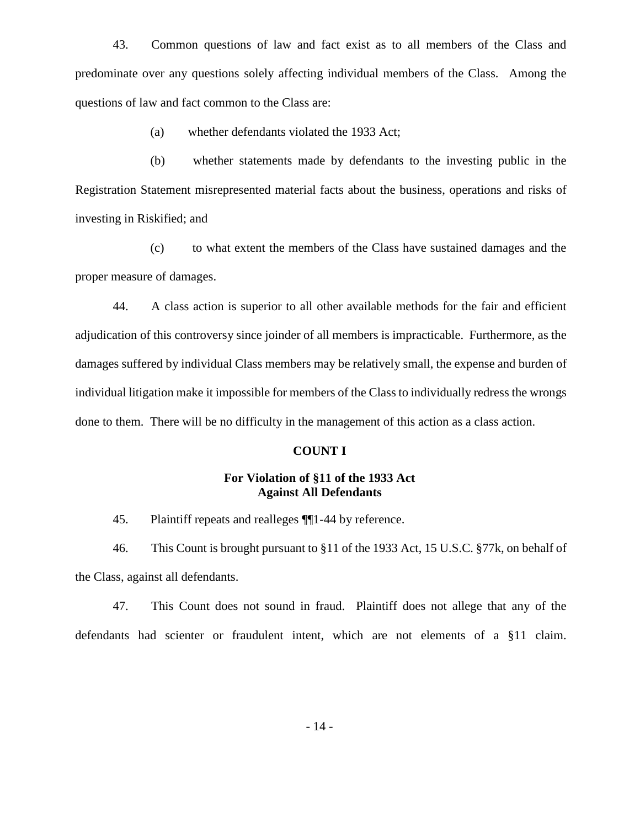43. Common questions of law and fact exist as to all members of the Class and predominate over any questions solely affecting individual members of the Class. Among the questions of law and fact common to the Class are:

(a) whether defendants violated the 1933 Act;

(b) whether statements made by defendants to the investing public in the Registration Statement misrepresented material facts about the business, operations and risks of investing in Riskified; and

(c) to what extent the members of the Class have sustained damages and the proper measure of damages.

44. A class action is superior to all other available methods for the fair and efficient adjudication of this controversy since joinder of all members is impracticable. Furthermore, as the damages suffered by individual Class members may be relatively small, the expense and burden of individual litigation make it impossible for members of the Class to individually redress the wrongs done to them. There will be no difficulty in the management of this action as a class action.

#### **COUNT I**

## **For Violation of §11 of the 1933 Act Against All Defendants**

45. Plaintiff repeats and realleges ¶¶1-44 by reference.

46. This Count is brought pursuant to §11 of the 1933 Act, 15 U.S.C. §77k, on behalf of the Class, against all defendants.

47. This Count does not sound in fraud. Plaintiff does not allege that any of the defendants had scienter or fraudulent intent, which are not elements of a §11 claim.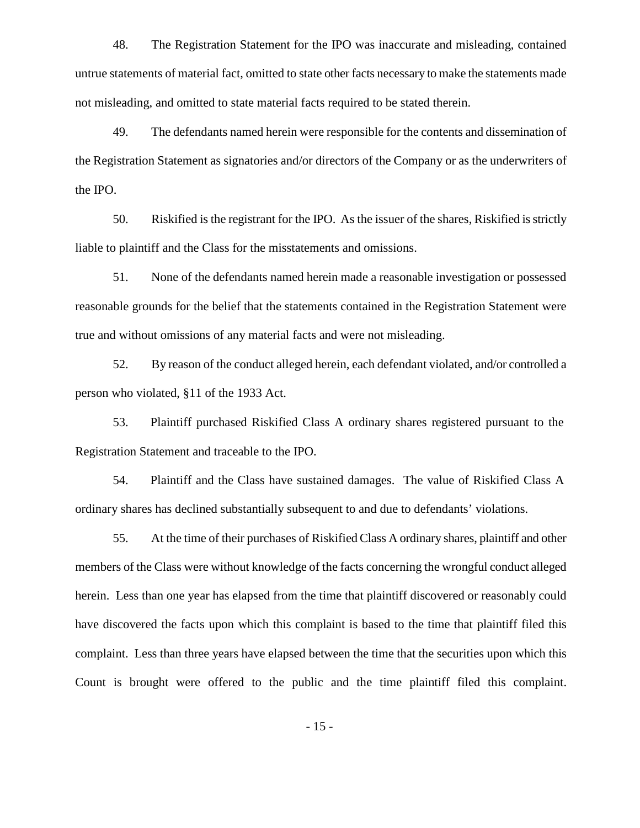48. The Registration Statement for the IPO was inaccurate and misleading, contained untrue statements of material fact, omitted to state other facts necessary to make the statements made not misleading, and omitted to state material facts required to be stated therein.

49. The defendants named herein were responsible for the contents and dissemination of the Registration Statement as signatories and/or directors of the Company or as the underwriters of the IPO.

50. Riskified isthe registrant for the IPO. As the issuer of the shares, Riskified isstrictly liable to plaintiff and the Class for the misstatements and omissions.

51. None of the defendants named herein made a reasonable investigation or possessed reasonable grounds for the belief that the statements contained in the Registration Statement were true and without omissions of any material facts and were not misleading.

52. By reason of the conduct alleged herein, each defendant violated, and/or controlled a person who violated, §11 of the 1933 Act.

53. Plaintiff purchased Riskified Class A ordinary shares registered pursuant to the Registration Statement and traceable to the IPO.

54. Plaintiff and the Class have sustained damages. The value of Riskified Class A ordinary shares has declined substantially subsequent to and due to defendants' violations.

55. At the time of their purchases of Riskified Class A ordinary shares, plaintiff and other members of the Class were without knowledge of the facts concerning the wrongful conduct alleged herein. Less than one year has elapsed from the time that plaintiff discovered or reasonably could have discovered the facts upon which this complaint is based to the time that plaintiff filed this complaint. Less than three years have elapsed between the time that the securities upon which this Count is brought were offered to the public and the time plaintiff filed this complaint.

- 15 -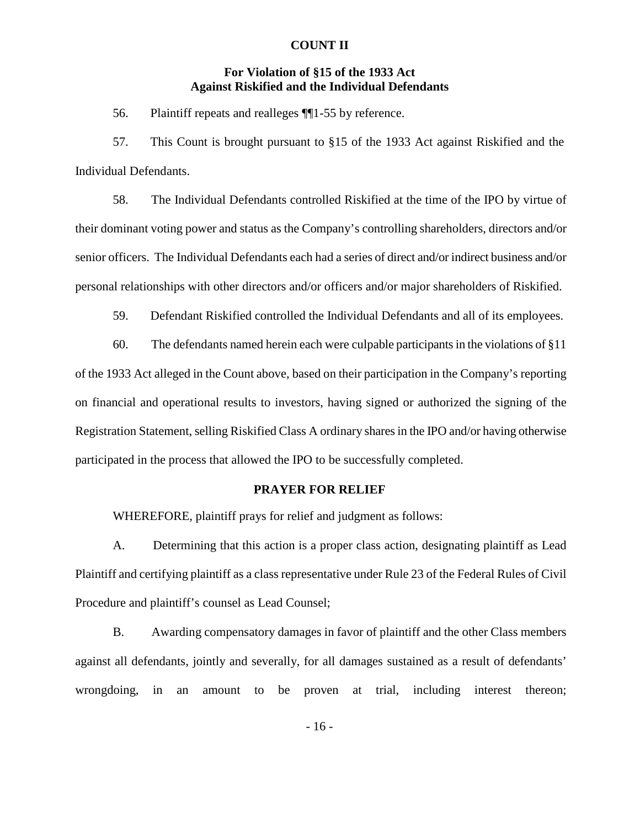### **COUNT II**

## **For Violation of §15 of the 1933 Act Against Riskified and the Individual Defendants**

56. Plaintiff repeats and realleges ¶¶1-55 by reference.

57. This Count is brought pursuant to §15 ofthe 1933 Act against Riskified and the Individual Defendants.

58. The Individual Defendants controlled Riskified at the time of the IPO by virtue of their dominant voting power and status as the Company's controlling shareholders, directors and/or senior officers. The Individual Defendants each had a series of direct and/or indirect business and/or personal relationships with other directors and/or officers and/or major shareholders of Riskified.

59. Defendant Riskified controlled the Individual Defendants and all of its employees.

60. The defendants named herein each were culpable participants in the violations of  $§11$ of the 1933 Act alleged in the Count above, based on their participation in the Company's reporting on financial and operational results to investors, having signed or authorized the signing of the Registration Statement, selling Riskified Class A ordinary sharesin the IPO and/or having otherwise participated in the process that allowed the IPO to be successfully completed.

### **PRAYER FOR RELIEF**

WHEREFORE, plaintiff prays for relief and judgment as follows:

A. Determining that this action is a proper class action, designating plaintiff as Lead Plaintiff and certifying plaintiff as a class representative under Rule 23 of the Federal Rules of Civil Procedure and plaintiff's counsel as Lead Counsel;

B. Awarding compensatory damages in favor of plaintiff and the other Class members against all defendants, jointly and severally, for all damages sustained as a result of defendants' wrongdoing, in an amount to be proven at trial, including interest thereon;